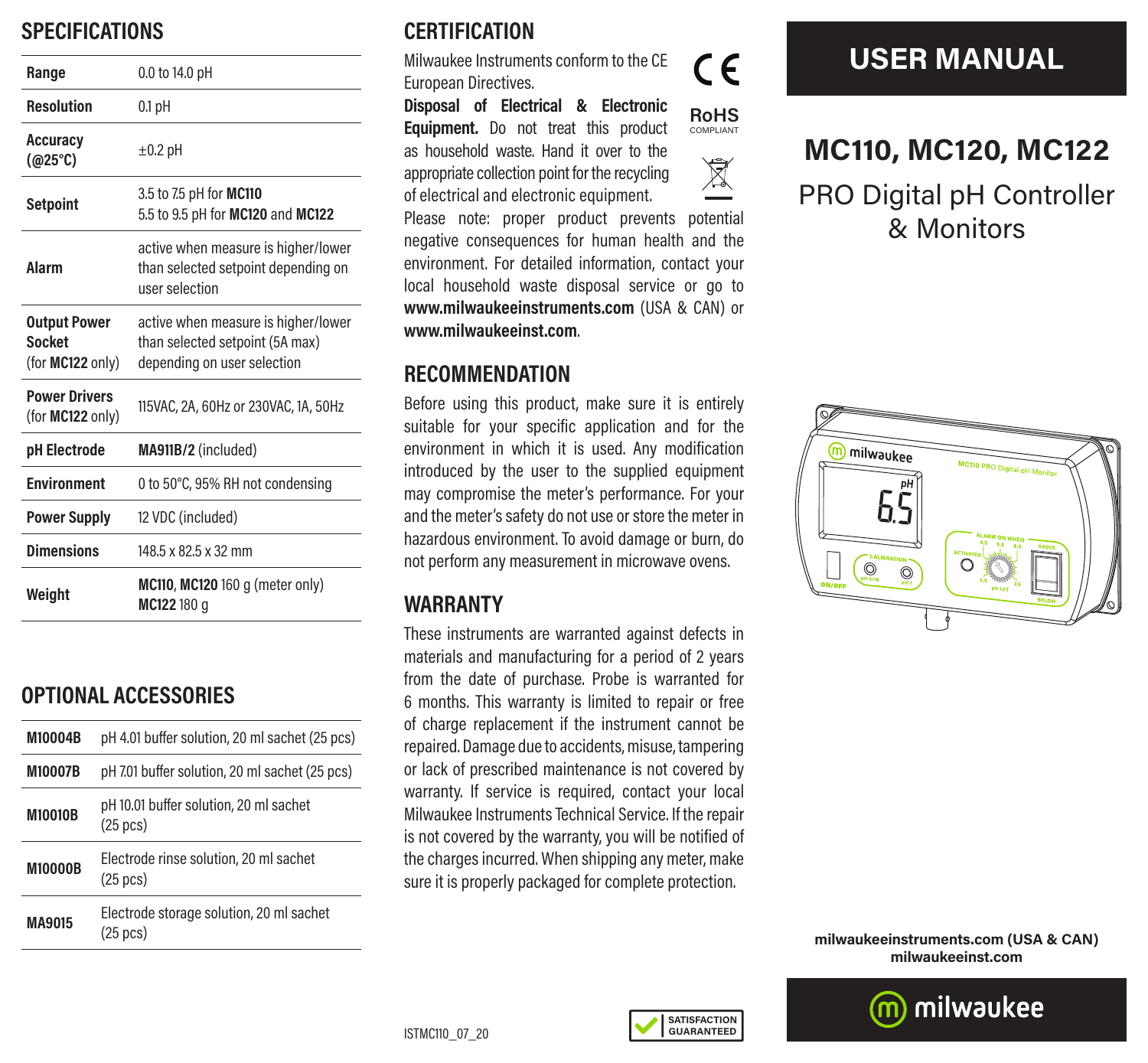## **SPECIFICATIONS**

| Range                                                    | 0.0 to 14.0 pH                                                                                        |
|----------------------------------------------------------|-------------------------------------------------------------------------------------------------------|
| <b>Resolution</b>                                        | $0.1$ pH                                                                                              |
| <b>Accuracy</b><br>(@25°C)                               | $\pm 0.2$ pH                                                                                          |
| <b>Setpoint</b>                                          | 3.5 to 7.5 pH for MC110<br>5.5 to 9.5 pH for MC120 and MC122                                          |
| Alarm                                                    | active when measure is higher/lower<br>than selected setpoint depending on<br>user selection          |
| <b>Output Power</b><br><b>Socket</b><br>(for MC122 only) | active when measure is higher/lower<br>than selected setpoint (5A max)<br>depending on user selection |
| <b>Power Drivers</b><br>(for MC122 only)                 | 115VAC, 2A, 60Hz or 230VAC, 1A, 50Hz                                                                  |
| pH Electrode                                             | MA911B/2 (included)                                                                                   |
| <b>Environment</b>                                       | 0 to 50°C, 95% RH not condensing                                                                      |
| <b>Power Supply</b>                                      | 12 VDC (included)                                                                                     |
| <b>Dimensions</b>                                        | 148.5 x 82.5 x 32 mm                                                                                  |
| Weight                                                   | <b>MC110, MC120</b> 160 g (meter only)<br>MC122180 a                                                  |

## **OPTIONAL ACCESSORIES**

| M10004B        | pH 4.01 buffer solution, 20 ml sachet (25 pcs)                 |
|----------------|----------------------------------------------------------------|
| <b>M10007B</b> | pH 7.01 buffer solution, 20 ml sachet (25 pcs)                 |
| <b>M10010B</b> | pH 10.01 buffer solution, 20 ml sachet<br>$(25 \text{ pcs})$   |
| <b>M10000B</b> | Electrode rinse solution, 20 ml sachet<br>$(25 \text{ pcs})$   |
| MA9015         | Electrode storage solution, 20 ml sachet<br>$(25 \text{ pcs})$ |

## **CERTIFICATION**

Milwaukee Instruments conform to the CE European Directives.

**Disposal of Electrical & Electronic Equipment.** Do not treat this product as household waste. Hand it over to the appropriate collection point for the recycling of electrical and electronic equipment.



## $\boxtimes$

Please note: proper product prevents potential negative consequences for human health and the environment. For detailed information, contact your local household waste disposal service or go to **www.milwaukeeinstruments.com** (USA & CAN) or **www.milwaukeeinst.com**.

#### **RECOMMENDATION**

Before using this product, make sure it is entirely suitable for your specific application and for the environment in which it is used. Any modification introduced by the user to the supplied equipment may compromise the meter's performance. For your and the meter's safety do not use or store the meter in hazardous environment. To avoid damage or burn, do not perform any measurement in microwave ovens.

### **WARRANTY**

These instruments are warranted against defects in materials and manufacturing for a period of 2 years from the date of purchase. Probe is warranted for 6 months. This warranty is limited to repair or free of charge replacement if the instrument cannot be repaired. Damage due to accidents, misuse, tampering or lack of prescribed maintenance is not covered by warranty. If service is required, contact your local Milwaukee Instruments Technical Service. If the repair is not covered by the warranty, you will be notified of the charges incurred. When shipping any meter, make sure it is properly packaged for complete protection.

> **SATISFACTION GUARANTEED**

# $\epsilon$



**USER MANUAL**



**milwaukeeinstruments.com (USA & CAN) milwaukeeinst.com**